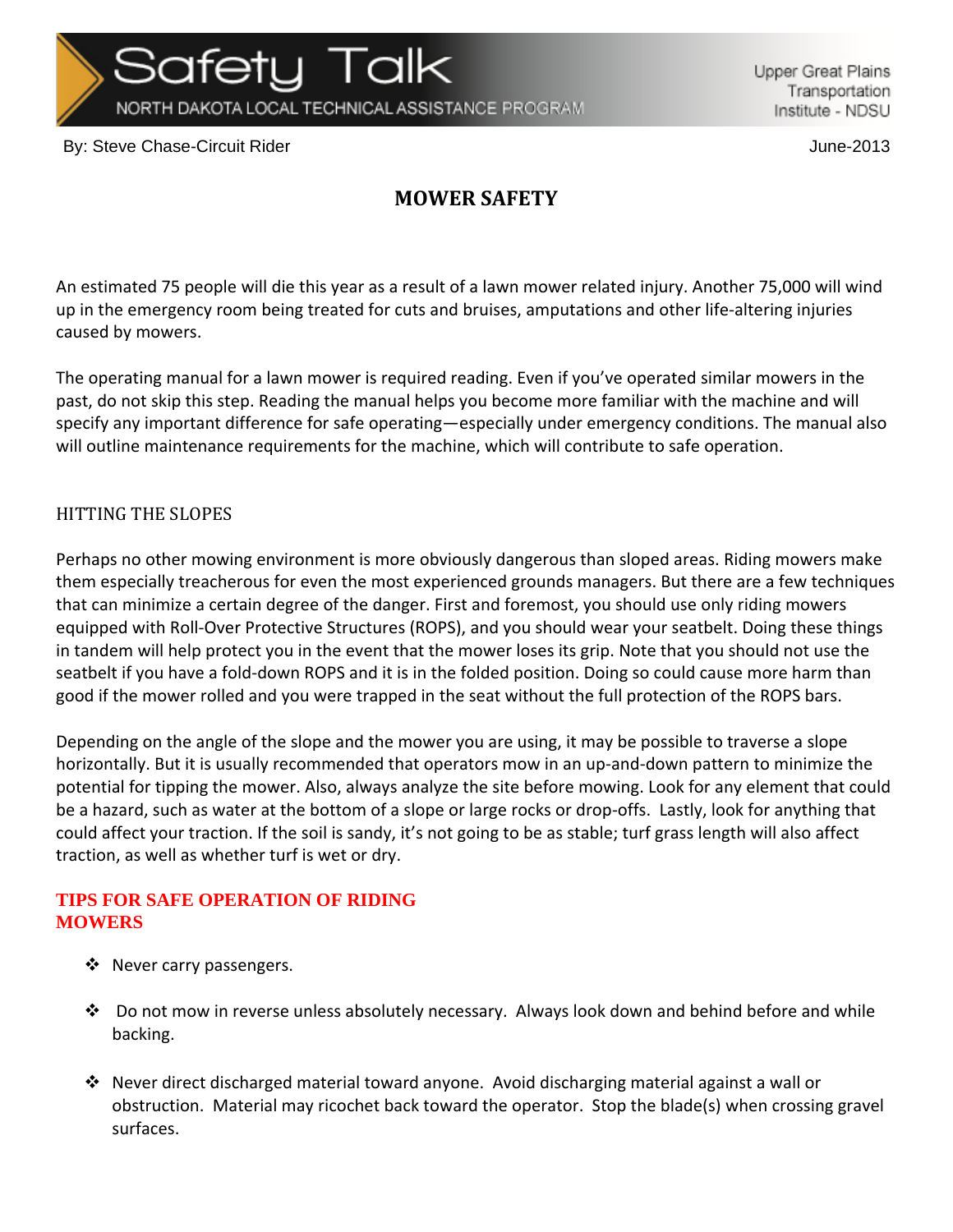NORTH DAKOTA LOCAL TECHNICAL ASSISTANCE PROGRAM

Safetu Talk

Upper Great Plains Transportation Institute - NDSU

By: Steve Chase-Circuit Rider June-2013

## **MOWER SAFETY**

An estimated 75 people will die this year as a result of a lawn mower related injury. Another 75,000 will wind up in the emergency room being treated for cuts and bruises, amputations and other life‐altering injuries caused by mowers.

The operating manual for a lawn mower is required reading. Even if you've operated similar mowers in the past, do not skip this step. Reading the manual helps you become more familiar with the machine and will specify any important difference for safe operating—especially under emergency conditions. The manual also will outline maintenance requirements for the machine, which will contribute to safe operation.

## HITTING THE SLOPES

Perhaps no other mowing environment is more obviously dangerous than sloped areas. Riding mowers make them especially treacherous for even the most experienced grounds managers. But there are a few techniques that can minimize a certain degree of the danger. First and foremost, you should use only riding mowers equipped with Roll-Over Protective Structures (ROPS), and you should wear your seatbelt. Doing these things in tandem will help protect you in the event that the mower loses its grip. Note that you should not use the seatbelt if you have a fold‐down ROPS and it is in the folded position. Doing so could cause more harm than good if the mower rolled and you were trapped in the seat without the full protection of the ROPS bars.

Depending on the angle of the slope and the mower you are using, it may be possible to traverse a slope horizontally. But it is usually recommended that operators mow in an up‐and‐down pattern to minimize the potential for tipping the mower. Also, always analyze the site before mowing. Look for any element that could be a hazard, such as water at the bottom of a slope or large rocks or drop‐offs. Lastly, look for anything that could affect your traction. If the soil is sandy, it's not going to be as stable; turf grass length will also affect traction, as well as whether turf is wet or dry.

## **TIPS FOR SAFE OPERATION OF RIDING MOWERS**

- ❖ Never carry passengers.
- $\div$  Do not mow in reverse unless absolutely necessary. Always look down and behind before and while backing.
- $\clubsuit$  Never direct discharged material toward anyone. Avoid discharging material against a wall or obstruction. Material may ricochet back toward the operator. Stop the blade(s) when crossing gravel surfaces.